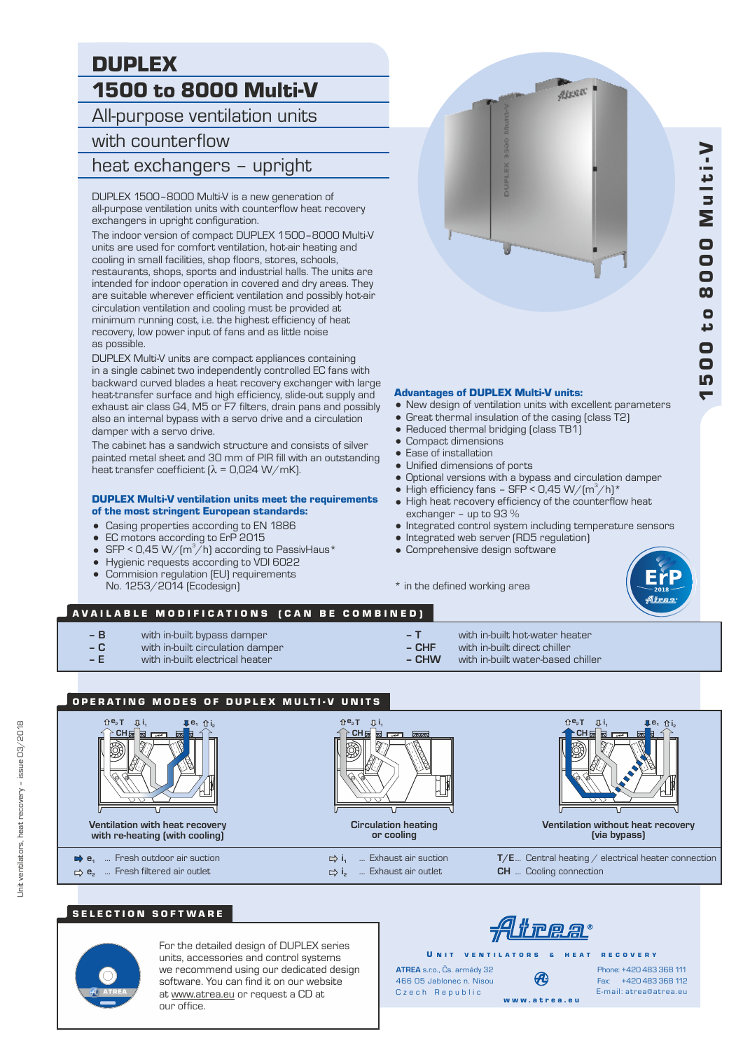# DUPLEX 1500 to 8000 Multi-V

All-purpose ventilation units

## with counterflow

# heat exchangers – upright

DUPLEX 1500–8000 Multi-V is a new generation of all-purpose ventilation units with counterflow heat recovery exchangers in upright configuration.

The indoor version of compact DUPLEX 1500–8000 Multi-V units are used for comfort ventilation, hot-air heating and cooling in small facilities, shop floors, stores, schools, restaurants, shops, sports and industrial halls. The units are intended for indoor operation in covered and dry areas. They are suitable wherever efficient ventilation and possibly hot-air circulation ventilation and cooling must be provided at minimum running cost, i.e. the highest efficiency of heat recovery, low power input of fans and as little noise as possible.

DUPLEX Multi-V units are compact appliances containing in a single cabinet two independently controlled EC fans with backward curved blades a heat recovery exchanger with large heat-transfer surface and high efficiency, slide-out supply and exhaust air class G4, M5 or F7 filters, drain pans and possibly also an internal bypass with a servo drive and a circulation damper with a servo drive.

The cabinet has a sandwich structure and consists of silver painted metal sheet and 30 mm of PIR fill with an outstanding heat transfer coefficient  $\lambda$  = 0,024 W/mK).

#### DUPLEX Multi-V ventilation units meet the requirements

- of the most stringent European standards:
- = Casing properties according to EN 1886
- EC motors according to ErP 2015
- SFP < 0,45 W/( $m^3/h$ ) according to PassivHaus\*
- = Hygienic requests according to VDI 6022 • Commision regulation (EU) requirements
- No. 1253/2014 (Ecodesign)

# Airesc

#### Advantages of DUPLEX Multi-V units:

- New design of ventilation units with excellent parameters
- Great thermal insulation of the casing (class T2)
- Reduced thermal bridging (class TB1)
- = Compact dimensions
- Ease of installation
- Unified dimensions of ports
- = Optional versions with a bypass and circulation damper
- High efficiency fans SFP < 0,45 W/ $(m^3/h)^*$
- High heat recovery efficiency of the counterflow heat exchanger – up to 93 %
- Integrated control system including temperature sensors
- Integrated web server (RD5 regulation)
- Comprehensive design software

\* in the defined working area



## AVAILABLE MODIFICATIONS (CAN BE COMBINED)

- 
- **B** with in-built bypass damper<br> **C** with in-built circulation dam
- **C** with in-built circulation damper with in-built electrical heater
- **T** with in-built hot-water heater
- 
- **CHF** with in-built direct chiller **– CHW** with in-built water-based chiller
- OPERATING MODES OF DUPLEX MULTI-V UNITS



#### SELECTION SOFTWARE



For the detailed design of DUPLEX series units, accessories and control systems we recommend using our dedicated design software. You can find it on our website at www.atrea.eu or request a CD at our office.

<u> Alirear</u>

U N IT VENTILATORS & HEAT RECOVERY

**ATREA** s.r.o., Čs. armády 32 466 05 Jablonec n. Nisou Czech Republic w w w . a t r e a . e u

Fax: +420 483 368 112 Phone: +420 483 368 111 E-mail: atrea@atrea.eu

 $\blacktriangledown$ 5 $\overline{\mathbf{C}}$  0 t o 8 $\overline{\mathbf{o}}$  $\bar{\mathbf{o}}$  0 Mu l t i -V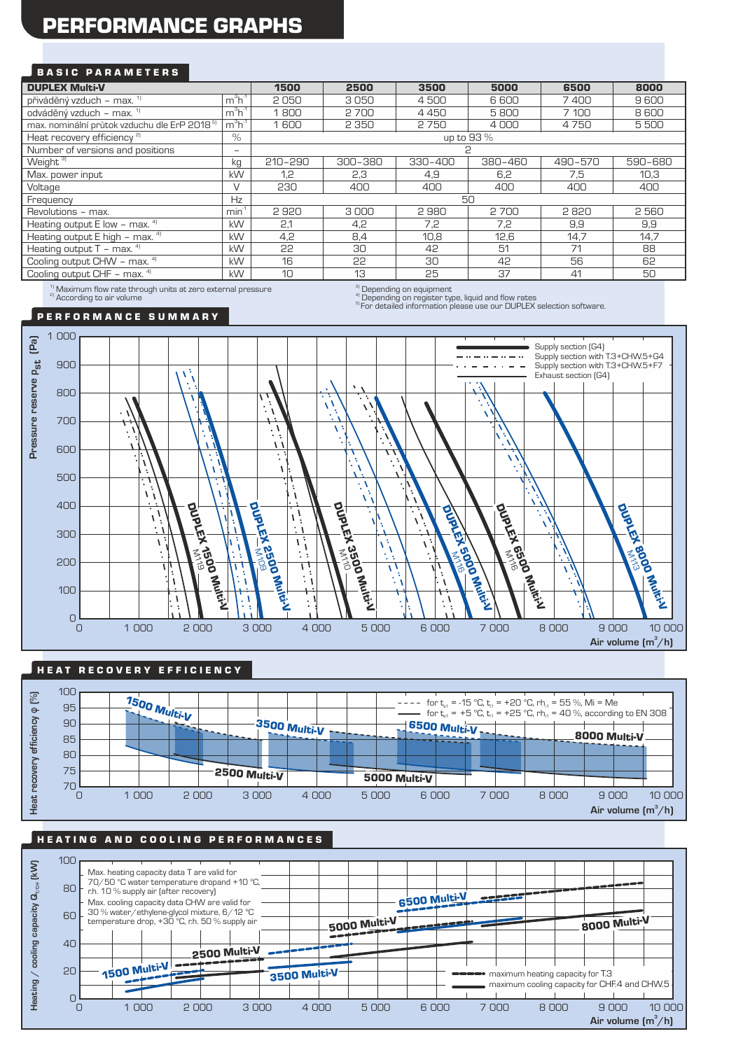# PERFORMANCE GRAPHS

#### BASIC PARAMETERS

| <b>DUPLEX Multi-V</b>                                                                                                                                         |                          | 1500        | 2500    | 3500        | 5000    | 6500    | 8000    |
|---------------------------------------------------------------------------------------------------------------------------------------------------------------|--------------------------|-------------|---------|-------------|---------|---------|---------|
| přiváděný vzduch – max. 1)                                                                                                                                    | $m3h-1$                  | 2050        | 3050    | 4500        | 6600    | 7400    | 9600    |
| odváděný vzduch – max. <sup>1)</sup>                                                                                                                          | $m^3h^1$                 | 1800        | 2700    | 4450        | 5800    | 7 100   | 8600    |
| max. nominální průtok vzduchu dle ErP 2018 <sup>51</sup>                                                                                                      | $m^3h^1$                 | 1600        | 2 3 5 0 | 2750        | 4000    | 4750    | 5500    |
| Heat recovery efficiency <sup>2)</sup>                                                                                                                        | $\%$                     | up to 93 %  |         |             |         |         |         |
| Number of versions and positions                                                                                                                              | $\overline{\phantom{0}}$ |             |         |             |         |         |         |
| Weight $3)$                                                                                                                                                   | kg                       | $210 - 290$ | 300-380 | $330 - 400$ | 380-460 | 490-570 | 590-680 |
| Max. power input                                                                                                                                              | kW                       | 1.2         | 2,3     | 4,9         | 6,2     | 7.5     | 10.3    |
| Voltage                                                                                                                                                       | $\vee$                   | 230         | 400     | 400         | 400     | 400     | 400     |
| Frequency                                                                                                                                                     | Hz                       |             |         | 50          |         |         |         |
| Revolutions - max.                                                                                                                                            | min <sup>1</sup>         | 2920        | 3000    | 2980        | 2700    | 2820    | 2560    |
| Heating output $E$ low – max. $41$                                                                                                                            | <b>kW</b>                | 2,1         | 4,2     | 7,2         | 7,2     | 9,9     | 9,9     |
| Heating output $E$ high - max. $4$                                                                                                                            | kW                       | 4,2         | 8,4     | 10,8        | 12,6    | 14,7    | 14.7    |
| Heating output $T - \text{max.}$ <sup>4)</sup>                                                                                                                | kW                       | 22          | 30      | 42          | 51      | 71      | 88      |
| Cooling output CHW - max. 4)                                                                                                                                  | kW                       | 16          | 55      | 30          | 42      | 56      | 62      |
| Cooling output CHF - max. 4)                                                                                                                                  | kW                       | 10          | 13      | 25          | 37      | 41      | 50      |
| $\mathbf{11}$ and $\mathbf{12}$ and $\mathbf{13}$ and $\mathbf{14}$ and $\mathbf{15}$ and $\mathbf{16}$ and $\mathbf{17}$ and $\mathbf{18}$ and $\mathbf{19}$ |                          |             | $31 -$  |             |         |         |         |

 $^{1)}$  Maximum flow rate through units at zero external pressure<br><sup>a)</sup> According to air volume

 $\sigma^{\rm (3)}_{\rm (1)}$  Depending on equipment<br> $\sigma^{\rm (4)}_{\rm (2)}$  Depending on register type, liquid and flow rates

<sup>5)</sup> For detailed information please use our DUPLEX selection software.

#### P E R F O R M A N C E S U M M A R Y



#### HE AT RECOVERY EFFICIENCY



#### HE A TING AND COOLING PERFORMANCES

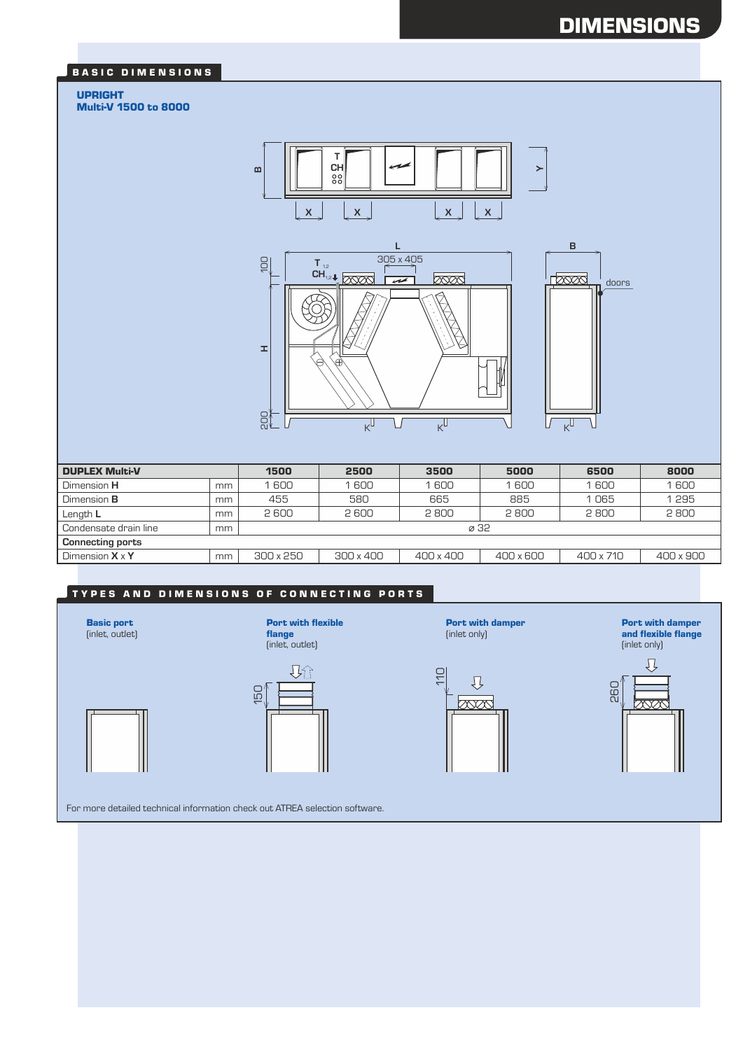# DIMENSIONS

#### BASIC DIMENSIONS

#### UPRIGHT

Multi-V 1500 to 8000



| <b>DUPLEX Multi-V</b>   |    | 1500             | 2500      | 3500             | 5000      | 6500      | 8000             |
|-------------------------|----|------------------|-----------|------------------|-----------|-----------|------------------|
| Dimension <b>H</b>      | mm | 600              | 600       | 1600             | 1 600     | 1600      | 1600             |
| Dimension <b>B</b>      | mm | 455              | 580       | 665              | 885       | 1065      | 1295             |
| Length L                | mm | 2600             | 2600      | 2800             | 2800      | 2800      | 2800             |
| Condensate drain line   | mm | ø 32             |           |                  |           |           |                  |
| <b>Connecting ports</b> |    |                  |           |                  |           |           |                  |
| Dimension $X \times Y$  | mm | $300 \times 250$ | 300 x 400 | $400 \times 400$ | 400 x 600 | 400 x 710 | $400 \times 900$ |

#### TYPES AND DIMENSIONS OF CONNECTING PORTS

Basic port (inlet, outlet)

flange (inlet, outlet)

Port with flexible



(inlet only) 110  $\overline{v}$  $\infty$ 

Port with damper

Port with damper and flexible flange (inlet only)



For more detailed technical information check out ATREA selection software.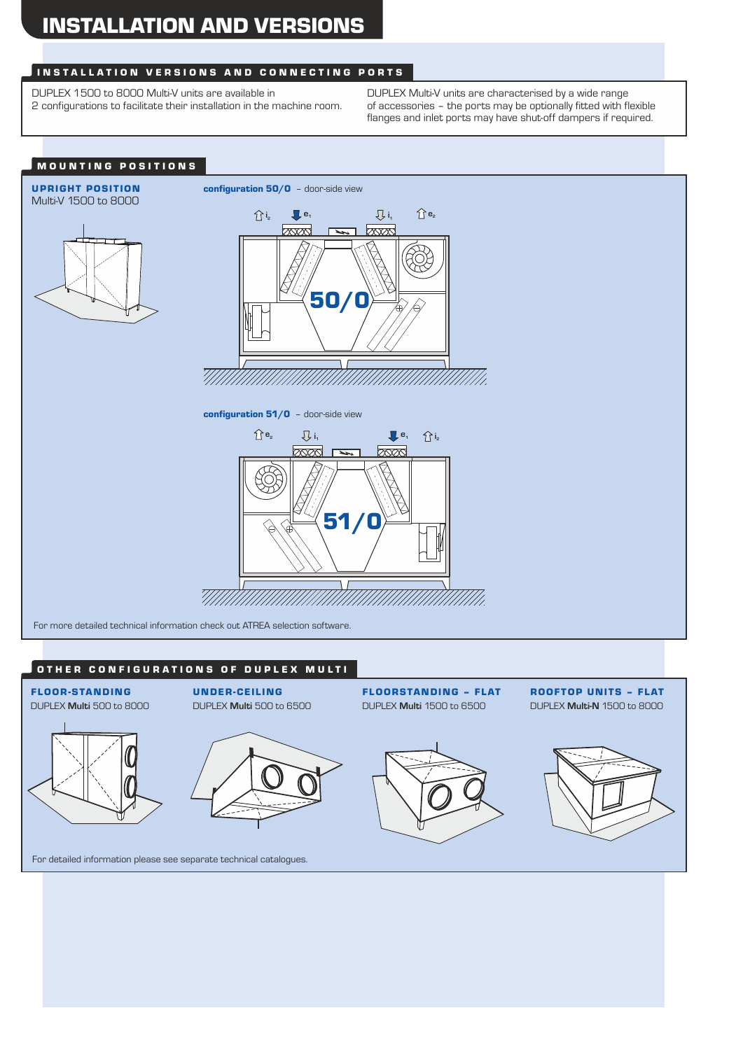## INSTALLATION VERSIONS AND CONNECTING PORTS

DUPLEX 1500 to 8000 Multi-V units are available in 2 configurations to facilitate their installation in the machine room. DUPLEX Multi-V units are characterised by a wide range of accessories – the ports may be optionally fitted with flexible flanges and inlet ports may have shut-off dampers if required.



#### OTHER CONFIGURATIONS OF DUPLEX MULTI





FLOORSTANDING – FLAT DUPLEX **Multi** 1500 to 6500



For detailed information please see separate technical catalogues.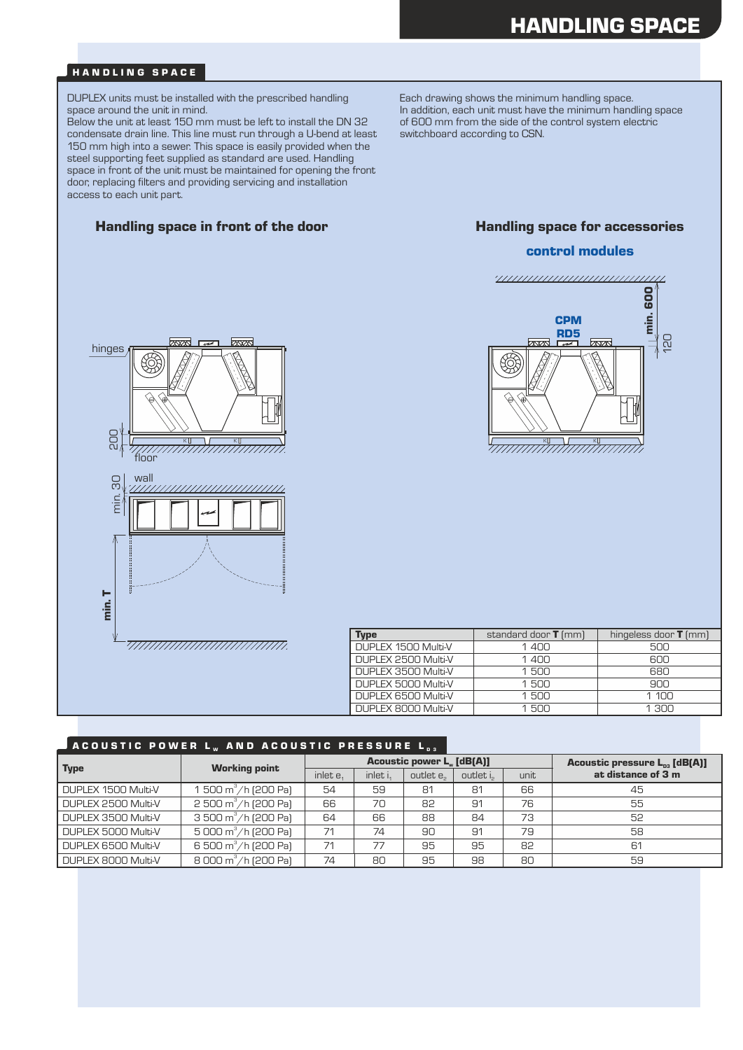#### HANDLING SPACE

DUPLEX units must be installed with the prescribed handling space around the unit in mind.

Below the unit at least 150 mm must be left to install the DN 32 condensate drain line. This line must run through a U-bend at least 150 mm high into a sewer. This space is easily provided when the steel supporting feet supplied as standard are used. Handling space in front of the unit must be maintained for opening the front door, replacing filters and providing servicing and installation access to each unit part.

#### Handling space in front of the door **Handling space for accessories**



#### control modules





| Type                | standard door $T$ (mm) | hingeless door $T$ (mm) |
|---------------------|------------------------|-------------------------|
| DUPLEX 1500 Multi-V | 1400                   | 500                     |
| DUPLEX 2500 Multi-V | 1400                   | 600                     |
| DUPLEX 3500 Multi-V | 1500                   | 680                     |
| DUPLEX 5000 Multi-V | 1.500                  | 900                     |
| DUPLEX 6500 Multi-V | 1500                   | 1.100                   |
| DUPLEX 8000 Multi-V | 1.500                  | 1.300                   |

#### A COUSTIC POWER L.. AND ACOUSTIC PRESSURE L.

| Type                | <b>Working point</b>                 | <b>Acoustic power L. [dB[A]]</b> |          |                       |           |      | Acoustic pressure $L_{0.3}$ [dB(A)] |  |
|---------------------|--------------------------------------|----------------------------------|----------|-----------------------|-----------|------|-------------------------------------|--|
|                     |                                      | inlet e.                         | inlet i. | outlet e <sub>2</sub> | outlet is | unit | at distance of 3 m                  |  |
| DUPLEX 1500 Multi-V | 500 m $^3$ /h (200 Pa)               | 54                               | 59       | 81                    | 81        | 66   | 45                                  |  |
| DUPLEX 2500 Multi-V | $2500 \text{ m}^3/\text{h}$ (200 Pa) | 66                               | 70       | 82                    | 91        | 76   | 55                                  |  |
| DUPLEX 3500 Multi-V | $3500 \text{ m}^3/\text{h}$ (200 Pa) | 64                               | 66       | 88                    | 84        | 73   | 52                                  |  |
| DUPLEX 5000 Multi-V | 5 000 $\text{m}^3/\text{h}$ (200 Pa) | 71                               | 74       | 90                    | 91        | 79   | 58                                  |  |
| DUPLEX 6500 Multi-V | 6 500 m <sup>3</sup> /h (200 Pa)     | 71                               | 77       | 95                    | 95        | 82   | 61                                  |  |
| DUPLEX 8000 Multi-V | 8 000 m <sup>3</sup> /h (200 Pa)     | 74                               | 80       | 95                    | 98        | 80   | 59                                  |  |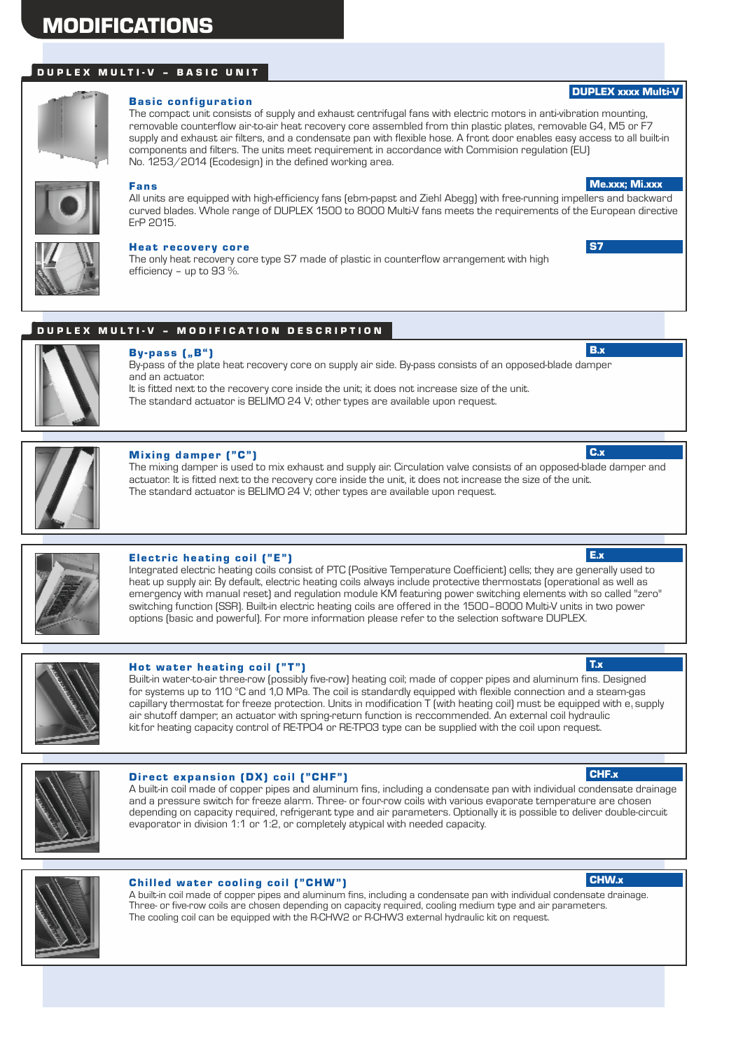# MODIFICATIONS

#### D U P L E X M U L T I - V - BAS I C U N I T



#### **Basic configuration**

The compact unit consists of supply and exhaust centrifugal fans with electric motors in anti-vibration mounting, removable counterflow air-to-air heat recovery core assembled from thin plastic plates, removable G4, M5 or F7 supply and exhaust air filters, and a condensate pan with flexible hose. A front door enables easy access to all built-in components and filters. The units meet requirement in accordance with Commision regulation (EU) No. 1253/2014 (Ecodesign) in the defined working area.



#### Fans

All units are equipped with high-efficiency fans (ebm-papst and Ziehl Abegg) with free-running impellers and backward curved blades. Whole range of DUPLEX 1500 to 8000 Multi-V fans meets the requirements of the European directive ErP 2015.



#### Heat recovery core

The only heat recovery core type S7 made of plastic in counterflow arrangement with high efficiency – up to 93 %.

#### DUPLEX MULTI-V - MODIFICATION DESCRIPTION



## $By-pass$   $[, B"$

By-pass of the plate heat recovery core on supply air side. By-pass consists of an opposed-blade damper and an actuator.

It is fitted next to the recovery core inside the unit; it does not increase size of the unit. The standard actuator is BELIMO 24 V; other types are available upon request.



#### Mixing damper ("C")

The mixing damper is used to mix exhaust and supply air. Circulation valve consists of an opposed-blade damper and actuator. It is fitted next to the recovery core inside the unit, it does not increase the size of the unit. The standard actuator is BELIMO 24 V; other types are available upon request.



#### Electric heating coil  $("E")$

Integrated electric heating coils consist of PTC (Positive Temperature Coefficient) cells; they are generally used to heat up supply air. By default, electric heating coils always include protective thermostats (operational as well as emergency with manual reset) and regulation module KM featuring power switching elements with so called "zero" switching function (SSR). Built-in electric heating coils are offered in the 1500–8000 Multi-V units in two power options (basic and powerful). For more information please refer to the selection software DUPLEX.

#### Hot water heating coil ("T")

Built-in water-to-air three-row (possibly five-row) heating coil; made of copper pipes and aluminum fins. Designed for systems up to 110 °C and 1,0 MPa. The coil is standardly equipped with flexible connection and a steam-gas capillary thermostat for freeze protection. Units in modification T (with heating coil) must be equipped with e, supply air shutoff damper; an actuator with spring-return function is reccommended. An external coil hydraulic kitfor heating capacity control of RE-TPO4 or RE-TPO3 type can be supplied with the coil upon request.



#### Direct expansion (DX) coil ("CHF")

A built-in coil made of copper pipes and aluminum fins, including a condensate pan with individual condensate drainage and a pressure switch for freeze alarm. Three- or four-row coils with various evaporate temperature are chosen depending on capacity required, refrigerant type and air parameters. Optionally it is possible to deliver double-circuit evaporator in division 1:1 or 1:2, or completely atypical with needed capacity.



#### Chilled water cooling coil ("CHW")

A built-in coil made of copper pipes and aluminum fins, including a condensate pan with individual condensate drainage. Three- or five-row coils are chosen depending on capacity required, cooling medium type and air parameters. The cooling coil can be equipped with the R-CHW2 or R-CHW3 external hydraulic kit on request.

#### CHF.x

CHW.x

# T.x

Me.xxx; Mi.xxx

DUPLEX xxxx Multi-V

S7

B.x

C.x

E.x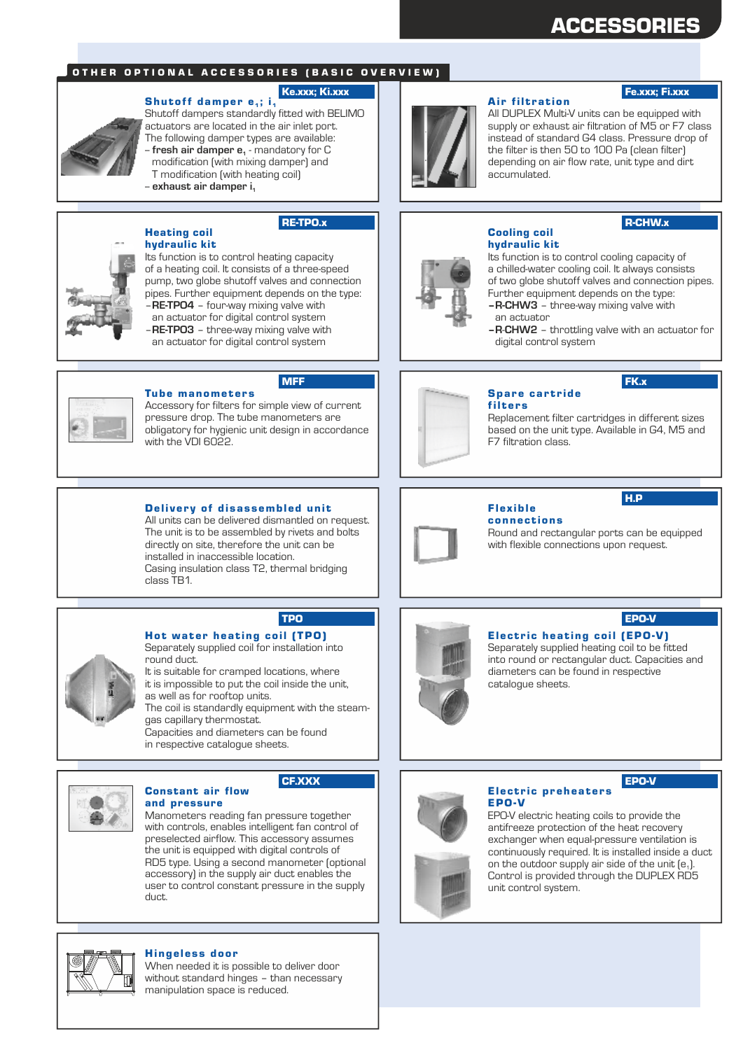# ACCESSORIES

#### OTHER OPTIONAL ACCESSORIES (BASIC OVERVIEW)

#### Ke.xxx; Ki.xxx

Shutoff damper  $e_1$ ; i<sub>1</sub> Shutoff dampers standardly fitted with BELIMO actuators are located in the air inlet port. The following damper types are available: fresh air damper e<sub>1</sub> - mandatory for C modification (with mixing damper) and T modification (with heating coil) -- **exhaust air damper i<sup>1</sup>**



#### RE-TPO.x



Its function is to control heating capacity of a heating coil. It consists of a three-speed pump, two globe shutoff valves and connection pipes. Further equipment depends on the type: –**RE-TPO4** – four-way mixing valve with an actuator for digital control system

–**RE-TPO3** – three-way mixing valve with an actuator for digital control system



#### MFF

**Tube manometers** Accessory for filters for simple view of current pressure drop. The tube manometers are obligatory for hygienic unit design in accordance with the VDI 6022.

#### Delivery of disassembled unit

All units can be delivered dismantled on request. The unit is to be assembled by rivets and bolts directly on site, therefore the unit can be installed in inaccessible location. Casing insulation class T2, thermal bridging class TB1.



TPO

#### Hot water heating coil (TPO) Separately supplied coil for installation into

round duct. It is suitable for cramped locations, where

it is impossible to put the coil inside the unit, as well as for rooftop units.

The coil is standardly equipment with the steamgas capillary thermostat.

Capacities and diameters can be found in respective catalogue sheets.



#### CF.XXX

and pressure Manometers reading fan pressure together with controls, enables intelligent fan control of preselected airflow. This accessory assumes the unit is equipped with digital controls of RD5 type. Using a second manometer (optional accessory) in the supply air duct enables the user to control constant pressure in the supply duct.



#### Hingeless door

Constant air flow

When needed it is possible to deliver door without standard hinges – than necessary manipulation space is reduced.



#### **Air filtration**

#### Fe.xxx; Fi.xxx

All DUPLEX Multi-V units can be equipped with supply or exhaust air filtration of M5 or F7 class instead of standard G4 class. Pressure drop of the filter is then 50 to 100 Pa (clean filter) depending on air flow rate, unit type and dirt accumulated.

## Cooling coil hydraulic kit

#### R-CHW.x

FK.x

H.P

Its function is to control cooling capacity of a chilled-water cooling coil. It always consists of two globe shutoff valves and connection pipes. Further equipment depends on the type:

- **–R-CHW3** three-way mixing valve with an actuator
- **–R**-**CHW2** throttling valve with an actuator for
- digital control system



#### Spare cartride filters

Replacement filter cartridges in different sizes based on the unit type. Available in G4, M5 and F7 filtration class.



#### Flex ible connections

Round and rectangular ports can be equipped with flexible connections upon request.

## EPO-V

EPO-V

Electric heating coil (EPO-V) Separately supplied heating coil to be fitted into round or rectangular duct. Capacities and diameters can be found in respective catalogue sheets.



#### Electric preheaters EPO-V

EPO-V electric heating coils to provide the antifreeze protection of the heat recovery exchanger when equal-pressure ventilation is continuously required. It is installed inside a duct on the outdoor supply air side of the unit  $[e_1]$ . Control is provided through the DUPLEX RD5 unit control system.